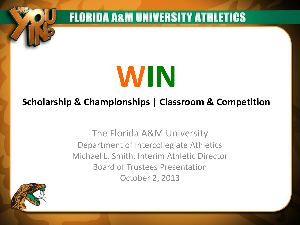**WIN**

**FLORIDA A&M UNIVERSITY ATHLETICS** 

#### **Scholarship & Championships | Classroom & Competition**

The Florida A&M University Department of Intercollegiate Athletics Michael L. Smith, Interim Athletic Director Board of Trustees Presentation October 2, 2013

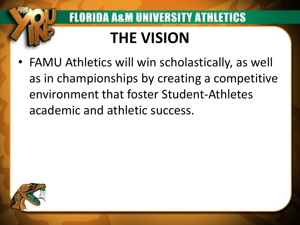# **THE VISION**

**FLORIDA A&M UNIVERSITY ATHLETICS** 

• FAMU Athletics will win scholastically, as well as in championships by creating a competitive environment that foster Student-Athletes academic and athletic success.

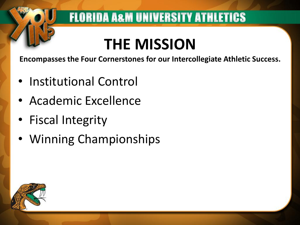# **THE MISSION**

**FLORIDA A&M UNIVERSITY ATHLETICS** 

**Encompasses the Four Cornerstones for our Intercollegiate Athletic Success.**

- Institutional Control
- Academic Excellence
- Fiscal Integrity
- Winning Championships

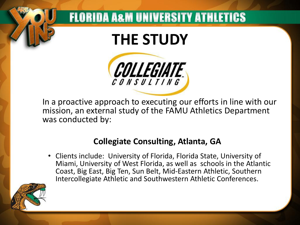## **THE STUDY**

**FLORIDA A&M UNIVERSITY ATHLETICS** 



In a proactive approach to executing our efforts in line with our mission, an external study of the FAMU Athletics Department was conducted by:

#### **Collegiate Consulting, Atlanta, GA**

• Clients include: University of Florida, Florida State, University of Miami, University of West Florida, as well as schools in the Atlantic Coast, Big East, Big Ten, Sun Belt, Mid-Eastern Athletic, Southern Intercollegiate Athletic and Southwestern Athletic Conferences.

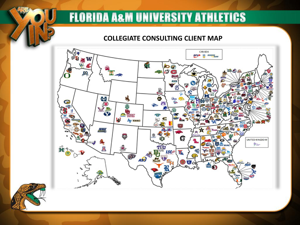#### **COLLEGIATE CONSULTING CLIENT MAP**



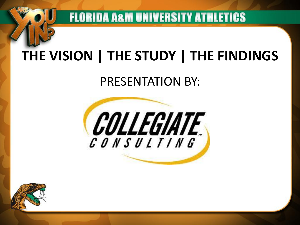## **THE VISION | THE STUDY | THE FINDINGS**

**FLORIDA A&M UNIVERSITY ATHLETICS** 

#### PRESENTATION BY:



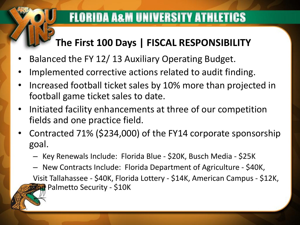#### **The First 100 Days | FISCAL RESPONSIBILITY**

- Balanced the FY 12/ 13 Auxiliary Operating Budget.
- Implemented corrective actions related to audit finding.
- Increased football ticket sales by 10% more than projected in football game ticket sales to date.
- Initiated facility enhancements at three of our competition fields and one practice field.
- Contracted 71% (\$234,000) of the FY14 corporate sponsorship goal.
	- Key Renewals Include: Florida Blue \$20K, Busch Media \$25K
	- New Contracts Include: Florida Department of Agriculture \$40K, Visit Tallahassee - \$40K, Florida Lottery - \$14K, American Campus - \$12K, and Palmetto Security - \$10K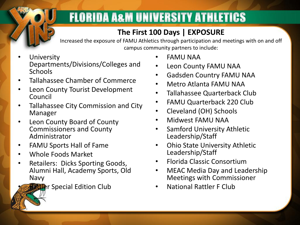#### **The First 100 Days | EXPOSURE**

Increased the exposure of FAMU Athletics through participation and meetings with on and off campus community partners to include:

- **University** Departments/Divisions/Colleges and Schools
- Tallahassee Chamber of Commerce
- Leon County Tourist Development Council
- Tallahassee City Commission and City Manager
- Leon County Board of County Commissioners and County Administrator
- FAMU Sports Hall of Fame
- Whole Foods Market
- Retailers: Dicks Sporting Goods, Alumni Hall, Academy Sports, Old Navy

**Rattle**r Special Edition Club

- FAMU NAA
- Leon County FAMU NAA
- Gadsden Country FAMU NAA
- Metro Atlanta FAMU NAA
- Tallahassee Quarterback Club
- FAMU Quarterback 220 Club
- Cleveland (OH) Schools
- Midwest FAMU NAA
- Samford University Athletic Leadership/Staff
- Ohio State University Athletic Leadership/Staff
- Florida Classic Consortium
- MEAC Media Day and Leadership Meetings with Commissioner
- National Rattler F Club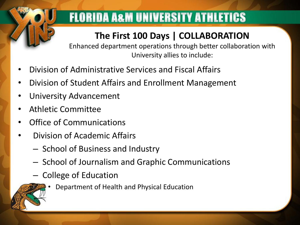#### **The First 100 Days | COLLABORATION**

Enhanced department operations through better collaboration with University allies to include:

- Division of Administrative Services and Fiscal Affairs
- Division of Student Affairs and Enrollment Management
- University Advancement
- Athletic Committee
- Office of Communications
- Division of Academic Affairs
	- School of Business and Industry
	- School of Journalism and Graphic Communications
	- College of Education



• Department of Health and Physical Education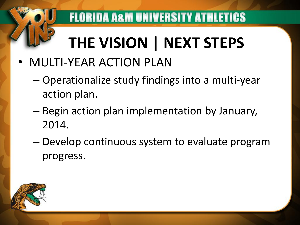# **THE VISION | NEXT STEPS**

**FLORIDA A&M UNIVERSITY ATHLETICS** 

- MULTI-YEAR ACTION PLAN
	- Operationalize study findings into a multi-year action plan.
	- Begin action plan implementation by January, 2014.
	- Develop continuous system to evaluate program progress.

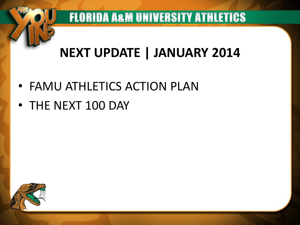### **NEXT UPDATE | JANUARY 2014**

**FLORIDA A&M UNIVERSITY ATHLETICS** 

- FAMU ATHLETICS ACTION PLAN
- THE NEXT 100 DAY